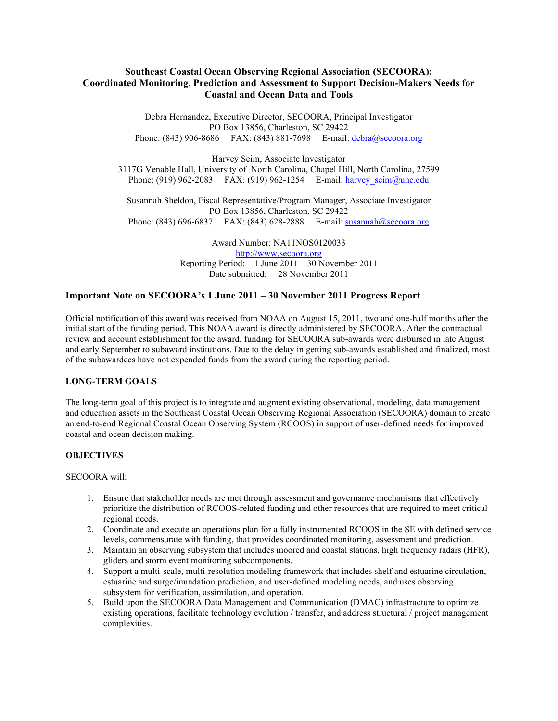# **Southeast Coastal Ocean Observing Regional Association (SECOORA): Coordinated Monitoring, Prediction and Assessment to Support Decision-Makers Needs for Coastal and Ocean Data and Tools**

Debra Hernandez, Executive Director, SECOORA, Principal Investigator PO Box 13856, Charleston, SC 29422 Phone: (843) 906-8686 FAX: (843) 881-7698 E-mail: debra@secoora.org

Harvey Seim, Associate Investigator 3117G Venable Hall, University of North Carolina, Chapel Hill, North Carolina, 27599 Phone: (919) 962-2083 FAX: (919) 962-1254 E-mail: harvey seim@unc.edu

Susannah Sheldon, Fiscal Representative/Program Manager, Associate Investigator PO Box 13856, Charleston, SC 29422 Phone: (843) 696-6837 FAX: (843) 628-2888 E-mail: susannah@secoora.org

> Award Number: NA11NOS0120033 http://www.secoora.org Reporting Period: 1 June 2011 – 30 November 2011 Date submitted: 28 November 2011

# **Important Note on SECOORA's 1 June 2011 – 30 November 2011 Progress Report**

Official notification of this award was received from NOAA on August 15, 2011, two and one-half months after the initial start of the funding period. This NOAA award is directly administered by SECOORA. After the contractual review and account establishment for the award, funding for SECOORA sub-awards were disbursed in late August and early September to subaward institutions. Due to the delay in getting sub-awards established and finalized, most of the subawardees have not expended funds from the award during the reporting period.

### **LONG-TERM GOALS**

The long-term goal of this project is to integrate and augment existing observational, modeling, data management and education assets in the Southeast Coastal Ocean Observing Regional Association (SECOORA) domain to create an end-to-end Regional Coastal Ocean Observing System (RCOOS) in support of user-defined needs for improved coastal and ocean decision making.

### **OBJECTIVES**

#### SECOORA will:

- 1. Ensure that stakeholder needs are met through assessment and governance mechanisms that effectively prioritize the distribution of RCOOS-related funding and other resources that are required to meet critical regional needs.
- 2. Coordinate and execute an operations plan for a fully instrumented RCOOS in the SE with defined service levels, commensurate with funding, that provides coordinated monitoring, assessment and prediction.
- 3. Maintain an observing subsystem that includes moored and coastal stations, high frequency radars (HFR), gliders and storm event monitoring subcomponents.
- 4. Support a multi-scale, multi-resolution modeling framework that includes shelf and estuarine circulation, estuarine and surge/inundation prediction, and user-defined modeling needs, and uses observing subsystem for verification, assimilation, and operation.
- 5. Build upon the SECOORA Data Management and Communication (DMAC) infrastructure to optimize existing operations, facilitate technology evolution / transfer, and address structural / project management complexities.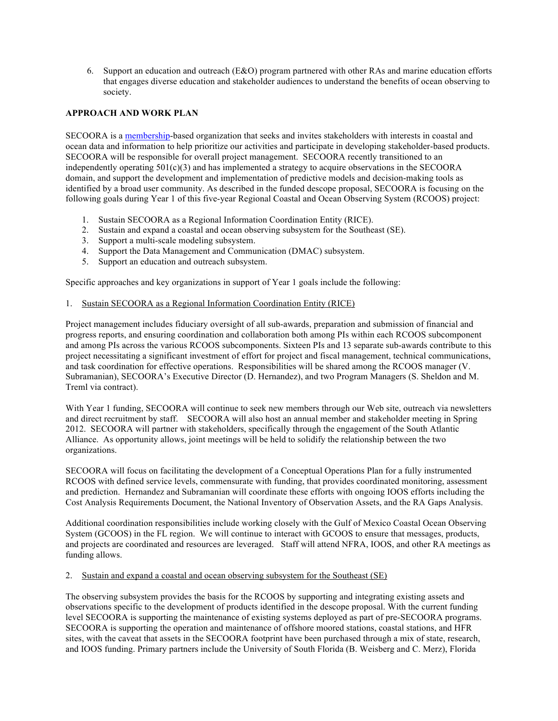6. Support an education and outreach (E&O) program partnered with other RAs and marine education efforts that engages diverse education and stakeholder audiences to understand the benefits of ocean observing to society.

# **APPROACH AND WORK PLAN**

SECOORA is a membership-based organization that seeks and invites stakeholders with interests in coastal and ocean data and information to help prioritize our activities and participate in developing stakeholder-based products. SECOORA will be responsible for overall project management. SECOORA recently transitioned to an independently operating  $501(c)(3)$  and has implemented a strategy to acquire observations in the SECOORA domain, and support the development and implementation of predictive models and decision-making tools as identified by a broad user community. As described in the funded descope proposal, SECOORA is focusing on the following goals during Year 1 of this five-year Regional Coastal and Ocean Observing System (RCOOS) project:

- 1. Sustain SECOORA as a Regional Information Coordination Entity (RICE).
- 2. Sustain and expand a coastal and ocean observing subsystem for the Southeast (SE).
- 3. Support a multi-scale modeling subsystem.
- 4. Support the Data Management and Communication (DMAC) subsystem.
- 5. Support an education and outreach subsystem.

Specific approaches and key organizations in support of Year 1 goals include the following:

#### 1. Sustain SECOORA as a Regional Information Coordination Entity (RICE)

Project management includes fiduciary oversight of all sub-awards, preparation and submission of financial and progress reports, and ensuring coordination and collaboration both among PIs within each RCOOS subcomponent and among PIs across the various RCOOS subcomponents. Sixteen PIs and 13 separate sub-awards contribute to this project necessitating a significant investment of effort for project and fiscal management, technical communications, and task coordination for effective operations. Responsibilities will be shared among the RCOOS manager (V. Subramanian), SECOORA's Executive Director (D. Hernandez), and two Program Managers (S. Sheldon and M. Treml via contract).

With Year 1 funding, SECOORA will continue to seek new members through our Web site, outreach via newsletters and direct recruitment by staff. SECOORA will also host an annual member and stakeholder meeting in Spring 2012. SECOORA will partner with stakeholders, specifically through the engagement of the South Atlantic Alliance. As opportunity allows, joint meetings will be held to solidify the relationship between the two organizations.

SECOORA will focus on facilitating the development of a Conceptual Operations Plan for a fully instrumented RCOOS with defined service levels, commensurate with funding, that provides coordinated monitoring, assessment and prediction. Hernandez and Subramanian will coordinate these efforts with ongoing IOOS efforts including the Cost Analysis Requirements Document, the National Inventory of Observation Assets, and the RA Gaps Analysis.

Additional coordination responsibilities include working closely with the Gulf of Mexico Coastal Ocean Observing System (GCOOS) in the FL region. We will continue to interact with GCOOS to ensure that messages, products, and projects are coordinated and resources are leveraged. Staff will attend NFRA, IOOS, and other RA meetings as funding allows.

#### 2. Sustain and expand a coastal and ocean observing subsystem for the Southeast (SE)

The observing subsystem provides the basis for the RCOOS by supporting and integrating existing assets and observations specific to the development of products identified in the descope proposal. With the current funding level SECOORA is supporting the maintenance of existing systems deployed as part of pre-SECOORA programs. SECOORA is supporting the operation and maintenance of offshore moored stations, coastal stations, and HFR sites, with the caveat that assets in the SECOORA footprint have been purchased through a mix of state, research, and IOOS funding. Primary partners include the University of South Florida (B. Weisberg and C. Merz), Florida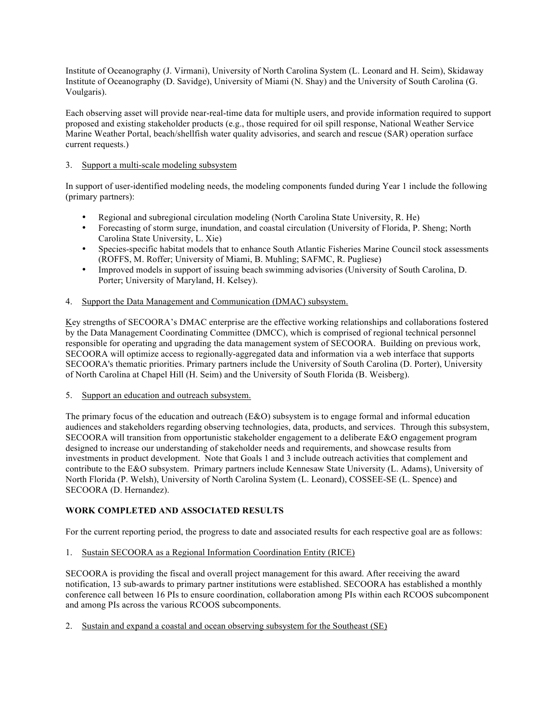Institute of Oceanography (J. Virmani), University of North Carolina System (L. Leonard and H. Seim), Skidaway Institute of Oceanography (D. Savidge), University of Miami (N. Shay) and the University of South Carolina (G. Voulgaris).

Each observing asset will provide near-real-time data for multiple users, and provide information required to support proposed and existing stakeholder products (e.g., those required for oil spill response, National Weather Service Marine Weather Portal, beach/shellfish water quality advisories, and search and rescue (SAR) operation surface current requests.)

## 3. Support a multi-scale modeling subsystem

In support of user-identified modeling needs, the modeling components funded during Year 1 include the following (primary partners):

- Regional and subregional circulation modeling (North Carolina State University, R. He)
- Forecasting of storm surge, inundation, and coastal circulation (University of Florida, P. Sheng; North Carolina State University, L. Xie)
- Species-specific habitat models that to enhance South Atlantic Fisheries Marine Council stock assessments (ROFFS, M. Roffer; University of Miami, B. Muhling; SAFMC, R. Pugliese)
- Improved models in support of issuing beach swimming advisories (University of South Carolina, D. Porter; University of Maryland, H. Kelsey).

# 4. Support the Data Management and Communication (DMAC) subsystem.

Key strengths of SECOORA's DMAC enterprise are the effective working relationships and collaborations fostered by the Data Management Coordinating Committee (DMCC), which is comprised of regional technical personnel responsible for operating and upgrading the data management system of SECOORA. Building on previous work, SECOORA will optimize access to regionally-aggregated data and information via a web interface that supports SECOORA's thematic priorities. Primary partners include the University of South Carolina (D. Porter), University of North Carolina at Chapel Hill (H. Seim) and the University of South Florida (B. Weisberg).

### 5. Support an education and outreach subsystem.

The primary focus of the education and outreach (E&O) subsystem is to engage formal and informal education audiences and stakeholders regarding observing technologies, data, products, and services. Through this subsystem, SECOORA will transition from opportunistic stakeholder engagement to a deliberate E&O engagement program designed to increase our understanding of stakeholder needs and requirements, and showcase results from investments in product development. Note that Goals 1 and 3 include outreach activities that complement and contribute to the E&O subsystem. Primary partners include Kennesaw State University (L. Adams), University of North Florida (P. Welsh), University of North Carolina System (L. Leonard), COSSEE-SE (L. Spence) and SECOORA (D. Hernandez).

# **WORK COMPLETED AND ASSOCIATED RESULTS**

For the current reporting period, the progress to date and associated results for each respective goal are as follows:

1. Sustain SECOORA as a Regional Information Coordination Entity (RICE)

SECOORA is providing the fiscal and overall project management for this award. After receiving the award notification, 13 sub-awards to primary partner institutions were established. SECOORA has established a monthly conference call between 16 PIs to ensure coordination, collaboration among PIs within each RCOOS subcomponent and among PIs across the various RCOOS subcomponents.

2. Sustain and expand a coastal and ocean observing subsystem for the Southeast (SE)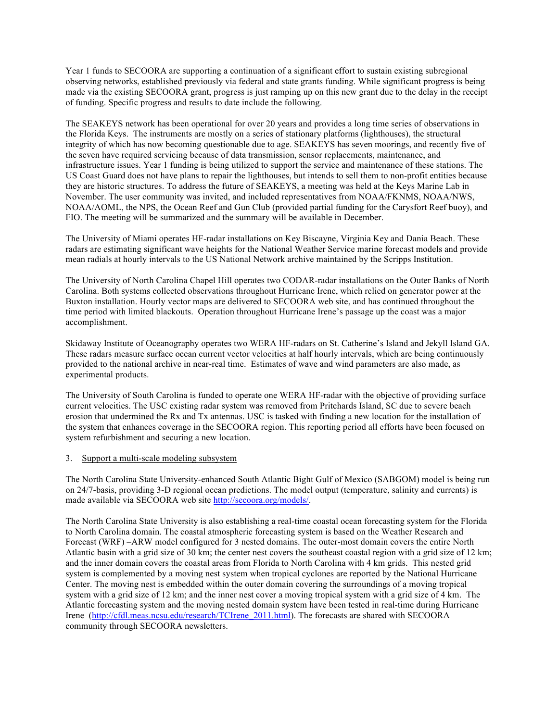Year 1 funds to SECOORA are supporting a continuation of a significant effort to sustain existing subregional observing networks, established previously via federal and state grants funding. While significant progress is being made via the existing SECOORA grant, progress is just ramping up on this new grant due to the delay in the receipt of funding. Specific progress and results to date include the following.

The SEAKEYS network has been operational for over 20 years and provides a long time series of observations in the Florida Keys. The instruments are mostly on a series of stationary platforms (lighthouses), the structural integrity of which has now becoming questionable due to age. SEAKEYS has seven moorings, and recently five of the seven have required servicing because of data transmission, sensor replacements, maintenance, and infrastructure issues. Year 1 funding is being utilized to support the service and maintenance of these stations. The US Coast Guard does not have plans to repair the lighthouses, but intends to sell them to non-profit entities because they are historic structures. To address the future of SEAKEYS, a meeting was held at the Keys Marine Lab in November. The user community was invited, and included representatives from NOAA/FKNMS, NOAA/NWS, NOAA/AOML, the NPS, the Ocean Reef and Gun Club (provided partial funding for the Carysfort Reef buoy), and FIO. The meeting will be summarized and the summary will be available in December.

The University of Miami operates HF-radar installations on Key Biscayne, Virginia Key and Dania Beach. These radars are estimating significant wave heights for the National Weather Service marine forecast models and provide mean radials at hourly intervals to the US National Network archive maintained by the Scripps Institution.

The University of North Carolina Chapel Hill operates two CODAR-radar installations on the Outer Banks of North Carolina. Both systems collected observations throughout Hurricane Irene, which relied on generator power at the Buxton installation. Hourly vector maps are delivered to SECOORA web site, and has continued throughout the time period with limited blackouts. Operation throughout Hurricane Irene's passage up the coast was a major accomplishment.

Skidaway Institute of Oceanography operates two WERA HF-radars on St. Catherine's Island and Jekyll Island GA. These radars measure surface ocean current vector velocities at half hourly intervals, which are being continuously provided to the national archive in near-real time. Estimates of wave and wind parameters are also made, as experimental products.

The University of South Carolina is funded to operate one WERA HF-radar with the objective of providing surface current velocities. The USC existing radar system was removed from Pritchards Island, SC due to severe beach erosion that undermined the Rx and Tx antennas. USC is tasked with finding a new location for the installation of the system that enhances coverage in the SECOORA region. This reporting period all efforts have been focused on system refurbishment and securing a new location.

#### 3. Support a multi-scale modeling subsystem

The North Carolina State University-enhanced South Atlantic Bight Gulf of Mexico (SABGOM) model is being run on 24/7-basis, providing 3-D regional ocean predictions. The model output (temperature, salinity and currents) is made available via SECOORA web site http://secoora.org/models/.

The North Carolina State University is also establishing a real-time coastal ocean forecasting system for the Florida to North Carolina domain. The coastal atmospheric forecasting system is based on the Weather Research and Forecast (WRF) –ARW model configured for 3 nested domains. The outer-most domain covers the entire North Atlantic basin with a grid size of 30 km; the center nest covers the southeast coastal region with a grid size of 12 km; and the inner domain covers the coastal areas from Florida to North Carolina with 4 km grids. This nested grid system is complemented by a moving nest system when tropical cyclones are reported by the National Hurricane Center. The moving nest is embedded within the outer domain covering the surroundings of a moving tropical system with a grid size of 12 km; and the inner nest cover a moving tropical system with a grid size of 4 km. The Atlantic forecasting system and the moving nested domain system have been tested in real-time during Hurricane Irene (http://cfdl.meas.ncsu.edu/research/TCIrene\_2011.html). The forecasts are shared with SECOORA community through SECOORA newsletters.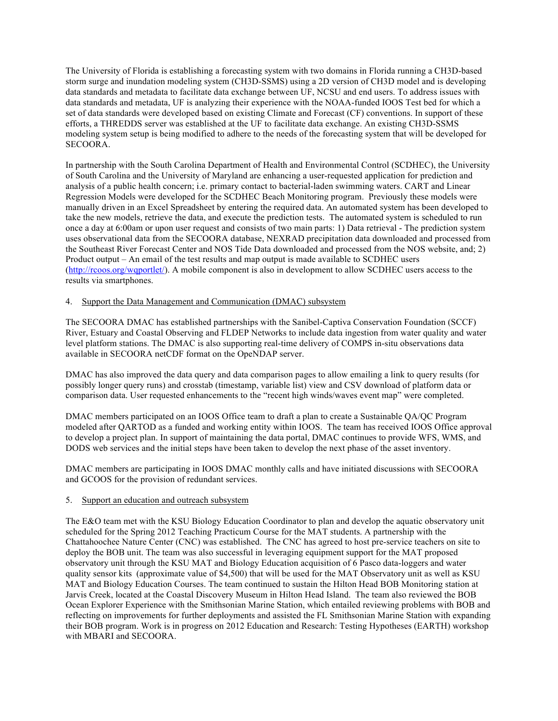The University of Florida is establishing a forecasting system with two domains in Florida running a CH3D-based storm surge and inundation modeling system (CH3D-SSMS) using a 2D version of CH3D model and is developing data standards and metadata to facilitate data exchange between UF, NCSU and end users. To address issues with data standards and metadata, UF is analyzing their experience with the NOAA-funded IOOS Test bed for which a set of data standards were developed based on existing Climate and Forecast (CF) conventions. In support of these efforts, a THREDDS server was established at the UF to facilitate data exchange. An existing CH3D-SSMS modeling system setup is being modified to adhere to the needs of the forecasting system that will be developed for SECOORA.

In partnership with the South Carolina Department of Health and Environmental Control (SCDHEC), the University of South Carolina and the University of Maryland are enhancing a user-requested application for prediction and analysis of a public health concern; i.e. primary contact to bacterial-laden swimming waters. CART and Linear Regression Models were developed for the SCDHEC Beach Monitoring program. Previously these models were manually driven in an Excel Spreadsheet by entering the required data. An automated system has been developed to take the new models, retrieve the data, and execute the prediction tests. The automated system is scheduled to run once a day at 6:00am or upon user request and consists of two main parts: 1) Data retrieval - The prediction system uses observational data from the SECOORA database, NEXRAD precipitation data downloaded and processed from the Southeast River Forecast Center and NOS Tide Data downloaded and processed from the NOS website, and; 2) Product output – An email of the test results and map output is made available to SCDHEC users (http://rcoos.org/wqportlet/). A mobile component is also in development to allow SCDHEC users access to the results via smartphones.

### 4. Support the Data Management and Communication (DMAC) subsystem

The SECOORA DMAC has established partnerships with the Sanibel-Captiva Conservation Foundation (SCCF) River, Estuary and Coastal Observing and FLDEP Networks to include data ingestion from water quality and water level platform stations. The DMAC is also supporting real-time delivery of COMPS in-situ observations data available in SECOORA netCDF format on the OpeNDAP server.

DMAC has also improved the data query and data comparison pages to allow emailing a link to query results (for possibly longer query runs) and crosstab (timestamp, variable list) view and CSV download of platform data or comparison data. User requested enhancements to the "recent high winds/waves event map" were completed.

DMAC members participated on an IOOS Office team to draft a plan to create a Sustainable QA/QC Program modeled after QARTOD as a funded and working entity within IOOS. The team has received IOOS Office approval to develop a project plan. In support of maintaining the data portal, DMAC continues to provide WFS, WMS, and DODS web services and the initial steps have been taken to develop the next phase of the asset inventory.

DMAC members are participating in IOOS DMAC monthly calls and have initiated discussions with SECOORA and GCOOS for the provision of redundant services.

### 5. Support an education and outreach subsystem

The E&O team met with the KSU Biology Education Coordinator to plan and develop the aquatic observatory unit scheduled for the Spring 2012 Teaching Practicum Course for the MAT students. A partnership with the Chattahoochee Nature Center (CNC) was established. The CNC has agreed to host pre-service teachers on site to deploy the BOB unit. The team was also successful in leveraging equipment support for the MAT proposed observatory unit through the KSU MAT and Biology Education acquisition of 6 Pasco data-loggers and water quality sensor kits (approximate value of \$4,500) that will be used for the MAT Observatory unit as well as KSU MAT and Biology Education Courses. The team continued to sustain the Hilton Head BOB Monitoring station at Jarvis Creek, located at the Coastal Discovery Museum in Hilton Head Island. The team also reviewed the BOB Ocean Explorer Experience with the Smithsonian Marine Station, which entailed reviewing problems with BOB and reflecting on improvements for further deployments and assisted the FL Smithsonian Marine Station with expanding their BOB program. Work is in progress on 2012 Education and Research: Testing Hypotheses (EARTH) workshop with MBARI and SECOORA.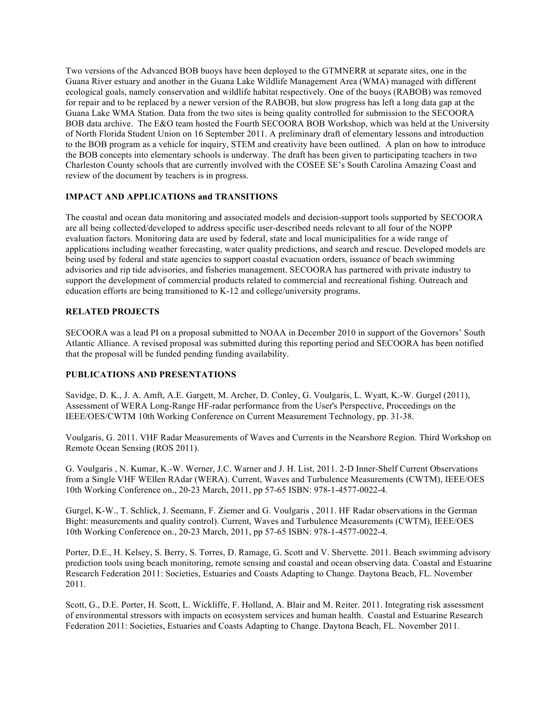Two versions of the Advanced BOB buoys have been deployed to the GTMNERR at separate sites, one in the Guana River estuary and another in the Guana Lake Wildlife Management Area (WMA) managed with different ecological goals, namely conservation and wildlife habitat respectively. One of the buoys (RABOB) was removed for repair and to be replaced by a newer version of the RABOB, but slow progress has left a long data gap at the Guana Lake WMA Station. Data from the two sites is being quality controlled for submission to the SECOORA BOB data archive. The E&O team hosted the Fourth SECOORA BOB Workshop, which was held at the University of North Florida Student Union on 16 September 2011. A preliminary draft of elementary lessons and introduction to the BOB program as a vehicle for inquiry, STEM and creativity have been outlined. A plan on how to introduce the BOB concepts into elementary schools is underway. The draft has been given to participating teachers in two Charleston County schools that are currently involved with the COSEE SE's South Carolina Amazing Coast and review of the document by teachers is in progress.

### **IMPACT AND APPLICATIONS and TRANSITIONS**

The coastal and ocean data monitoring and associated models and decision-support tools supported by SECOORA are all being collected/developed to address specific user-described needs relevant to all four of the NOPP evaluation factors. Monitoring data are used by federal, state and local municipalities for a wide range of applications including weather forecasting, water quality predictions, and search and rescue. Developed models are being used by federal and state agencies to support coastal evacuation orders, issuance of beach swimming advisories and rip tide advisories, and fisheries management. SECOORA has partnered with private industry to support the development of commercial products related to commercial and recreational fishing. Outreach and education efforts are being transitioned to K-12 and college/university programs.

#### **RELATED PROJECTS**

SECOORA was a lead PI on a proposal submitted to NOAA in December 2010 in support of the Governors' South Atlantic Alliance. A revised proposal was submitted during this reporting period and SECOORA has been notified that the proposal will be funded pending funding availability.

#### **PUBLICATIONS AND PRESENTATIONS**

Savidge, D. K., J. A. Amft, A.E. Gargett, M. Archer, D. Conley, G. Voulgaris, L. Wyatt, K.-W. Gurgel (2011), Assessment of WERA Long-Range HF-radar performance from the User's Perspective, Proceedings on the IEEE/OES/CWTM 10th Working Conference on Current Measurement Technology, pp. 31-38.

Voulgaris, G. 2011. VHF Radar Measurements of Waves and Currents in the Nearshore Region. Third Workshop on Remote Ocean Sensing (ROS 2011).

G. Voulgaris , N. Kumar, K.-W. Werner, J.C. Warner and J. H. List, 2011. 2-D Inner-Shelf Current Observations from a Single VHF WEllen RAdar (WERA). Current, Waves and Turbulence Measurements (CWTM), IEEE/OES 10th Working Conference on., 20-23 March, 2011, pp 57-65 ISBN: 978-1-4577-0022-4.

Gurgel, K-W., T. Schlick, J. Seemann, F. Ziemer and G. Voulgaris , 2011. HF Radar observations in the German Bight: measurements and quality control). Current, Waves and Turbulence Measurements (CWTM), IEEE/OES 10th Working Conference on., 20-23 March, 2011, pp 57-65 ISBN: 978-1-4577-0022-4.

Porter, D.E., H. Kelsey, S. Berry, S. Torres, D. Ramage, G. Scott and V. Shervette. 2011. Beach swimming advisory prediction tools using beach monitoring, remote sensing and coastal and ocean observing data. Coastal and Estuarine Research Federation 2011: Societies, Estuaries and Coasts Adapting to Change. Daytona Beach, FL. November 2011.

Scott, G., D.E. Porter, H. Scott, L. Wickliffe, F. Holland, A. Blair and M. Reiter. 2011. Integrating risk assessment of environmental stressors with impacts on ecosystem services and human health. Coastal and Estuarine Research Federation 2011: Societies, Estuaries and Coasts Adapting to Change. Daytona Beach, FL. November 2011.